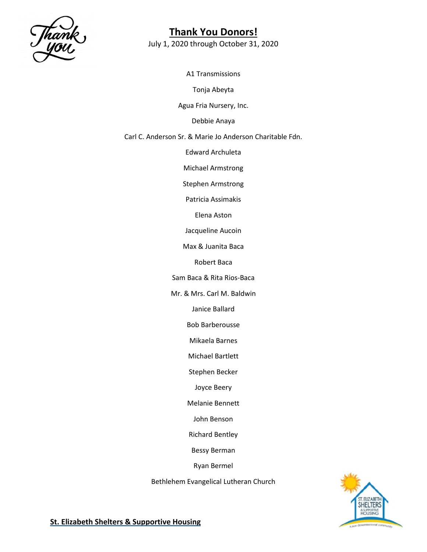

July 1, 2020 through October 31, 2020

A1 Transmissions

Tonja Abeyta

Agua Fria Nursery, Inc.

Debbie Anaya

Carl C. Anderson Sr. & Marie Jo Anderson Charitable Fdn.

Edward Archuleta

Michael Armstrong

Stephen Armstrong

Patricia Assimakis

Elena Aston

Jacqueline Aucoin

Max & Juanita Baca

Robert Baca

Sam Baca & Rita Rios-Baca

Mr. & Mrs. Carl M. Baldwin

Janice Ballard

Bob Barberousse

Mikaela Barnes

Michael Bartlett

Stephen Becker

Joyce Beery

Melanie Bennett

John Benson

Richard Bentley

Bessy Berman

Ryan Bermel

Bethlehem Evangelical Lutheran Church

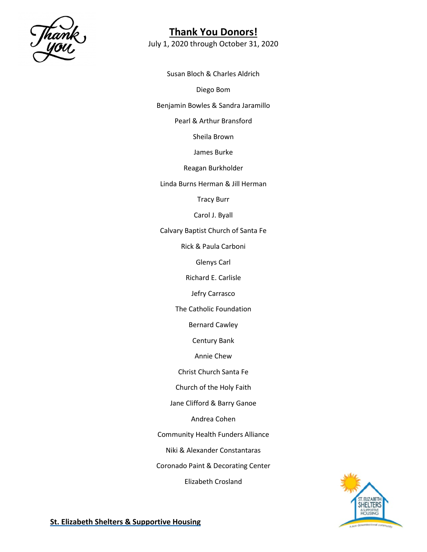

July 1, 2020 through October 31, 2020

Susan Bloch & Charles Aldrich

Diego Bom

Benjamin Bowles & Sandra Jaramillo

Pearl & Arthur Bransford

Sheila Brown

James Burke

Reagan Burkholder

Linda Burns Herman & Jill Herman

Tracy Burr

Carol J. Byall

Calvary Baptist Church of Santa Fe

Rick & Paula Carboni

Glenys Carl

Richard E. Carlisle

Jefry Carrasco

The Catholic Foundation

Bernard Cawley

Century Bank

Annie Chew

Christ Church Santa Fe

Church of the Holy Faith

Jane Clifford & Barry Ganoe

Andrea Cohen

Community Health Funders Alliance

Niki & Alexander Constantaras

Coronado Paint & Decorating Center

Elizabeth Crosland

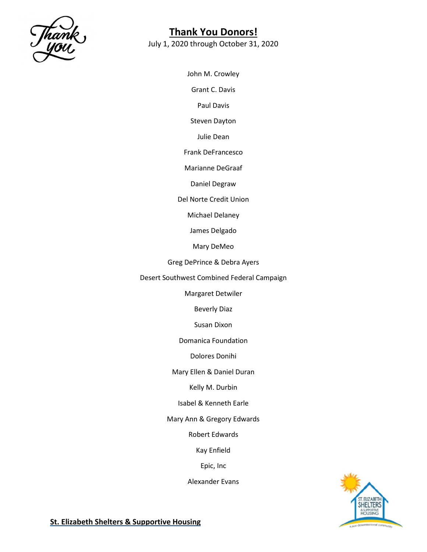

July 1, 2020 through October 31, 2020

John M. Crowley

Grant C. Davis

Paul Davis

Steven Dayton

Julie Dean

Frank DeFrancesco

Marianne DeGraaf

Daniel Degraw

Del Norte Credit Union

Michael Delaney

James Delgado

Mary DeMeo

Greg DePrince & Debra Ayers

Desert Southwest Combined Federal Campaign

Margaret Detwiler

Beverly Diaz

Susan Dixon

Domanica Foundation

Dolores Donihi

Mary Ellen & Daniel Duran

Kelly M. Durbin

Isabel & Kenneth Earle

Mary Ann & Gregory Edwards

Robert Edwards

Kay Enfield

Epic, Inc

Alexander Evans

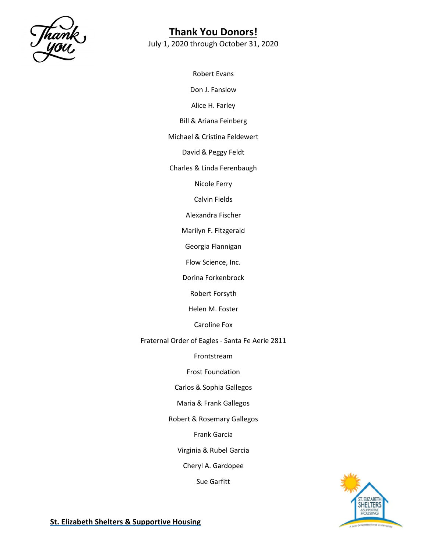

July 1, 2020 through October 31, 2020

Robert Evans Don J. Fanslow Alice H. Farley Bill & Ariana Feinberg Michael & Cristina Feldewert David & Peggy Feldt Charles & Linda Ferenbaugh Nicole Ferry Calvin Fields Alexandra Fischer Marilyn F. Fitzgerald Georgia Flannigan Flow Science, Inc. Dorina Forkenbrock Robert Forsyth Helen M. Foster Caroline Fox Fraternal Order of Eagles - Santa Fe Aerie 2811 Frontstream Frost Foundation Carlos & Sophia Gallegos Maria & Frank Gallegos Robert & Rosemary Gallegos Frank Garcia Virginia & Rubel Garcia Cheryl A. Gardopee Sue Garfitt

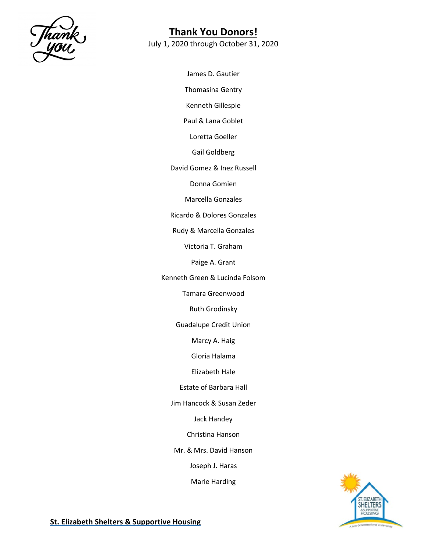

July 1, 2020 through October 31, 2020

James D. Gautier Thomasina Gentry Kenneth Gillespie Paul & Lana Goblet Loretta Goeller Gail Goldberg David Gomez & Inez Russell Donna Gomien Marcella Gonzales Ricardo & Dolores Gonzales Rudy & Marcella Gonzales Victoria T. Graham Paige A. Grant Kenneth Green & Lucinda Folsom Tamara Greenwood Ruth Grodinsky Guadalupe Credit Union Marcy A. Haig Gloria Halama Elizabeth Hale Estate of Barbara Hall Jim Hancock & Susan Zeder Jack Handey Christina Hanson Mr. & Mrs. David Hanson Joseph J. Haras Marie Harding

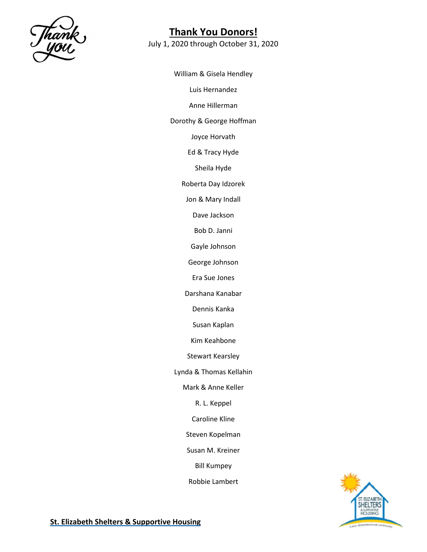

July 1, 2020 through October 31, 2020

William & Gisela Hendley Luis Hernandez Anne Hillerman Dorothy & George Hoffman Joyce Horvath Ed & Tracy Hyde Sheila Hyde Roberta Day Idzorek Jon & Mary Indall Dave Jackson Bob D. Janni Gayle Johnson George Johnson Era Sue Jones Darshana Kanabar Dennis Kanka Susan Kaplan Kim Keahbone Stewart Kearsley Lynda & Thomas Kellahin Mark & Anne Keller R. L. Keppel Caroline Kline Steven Kopelman Susan M. Kreiner Bill Kumpey Robbie Lambert

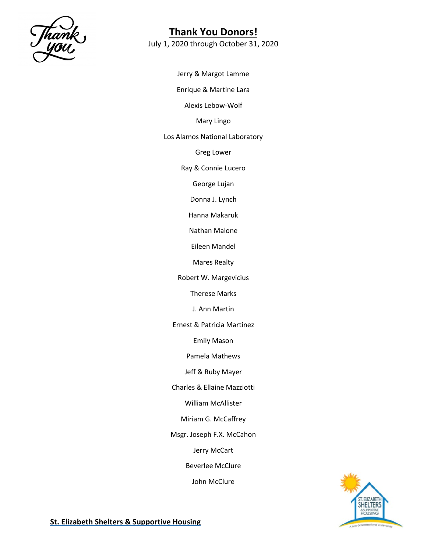

July 1, 2020 through October 31, 2020

Jerry & Margot Lamme Enrique & Martine Lara Alexis Lebow-Wolf Mary Lingo Los Alamos National Laboratory Greg Lower Ray & Connie Lucero George Lujan Donna J. Lynch Hanna Makaruk Nathan Malone Eileen Mandel Mares Realty Robert W. Margevicius Therese Marks J. Ann Martin Ernest & Patricia Martinez Emily Mason Pamela Mathews Jeff & Ruby Mayer Charles & Ellaine Mazziotti William McAllister Miriam G. McCaffrey Msgr. Joseph F.X. McCahon Jerry McCart Beverlee McClure John McClure

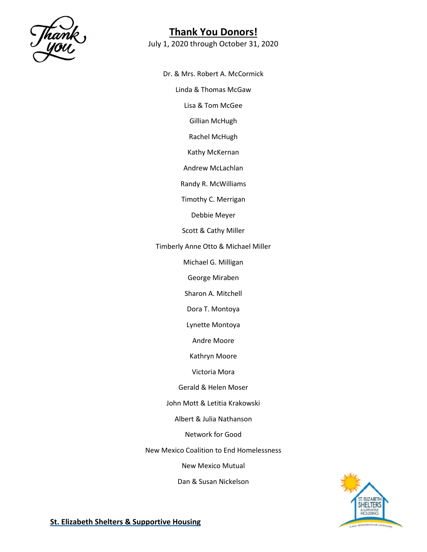

July 1, 2020 through October 31, 2020

Dr. & Mrs. Robert A. McCormick

Linda & Thomas McGaw

Lisa & Tom McGee

Gillian McHugh

Rachel McHugh

Kathy McKernan

Andrew McLachlan

Randy R. McWilliams

Timothy C. Merrigan

Debbie Meyer

Scott & Cathy Miller

Timberly Anne Otto & Michael Miller

Michael G. Milligan

George Miraben

Sharon A. Mitchell

Dora T. Montoya

Lynette Montoya

Andre Moore

Kathryn Moore

Victoria Mora

Gerald & Helen Moser

John Mott & Letitia Krakowski

Albert & Julia Nathanson

Network for Good

New Mexico Coalition to End Homelessness

New Mexico Mutual

Dan & Susan Nickelson



**St. Elizabeth Shelters & Supportive Housing**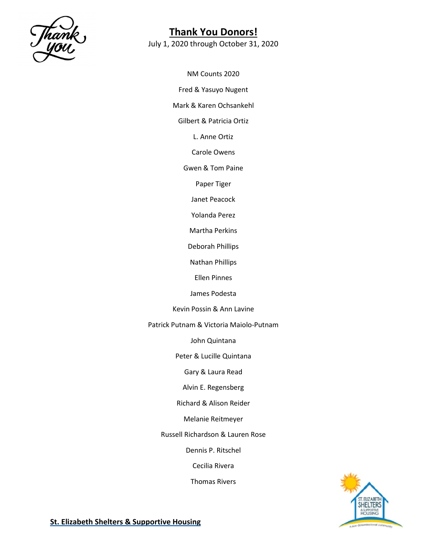

July 1, 2020 through October 31, 2020

NM Counts 2020 Fred & Yasuyo Nugent Mark & Karen Ochsankehl Gilbert & Patricia Ortiz L. Anne Ortiz Carole Owens Gwen & Tom Paine Paper Tiger Janet Peacock Yolanda Perez Martha Perkins Deborah Phillips Nathan Phillips Ellen Pinnes James Podesta Kevin Possin & Ann Lavine Patrick Putnam & Victoria Maiolo-Putnam John Quintana Peter & Lucille Quintana Gary & Laura Read Alvin E. Regensberg Richard & Alison Reider Melanie Reitmeyer Russell Richardson & Lauren Rose Dennis P. Ritschel Cecilia Rivera

Thomas Rivers

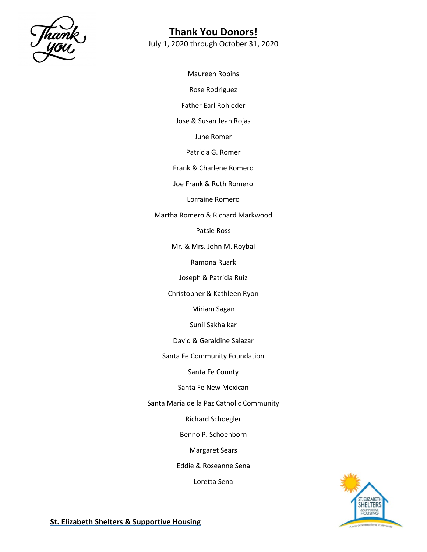

July 1, 2020 through October 31, 2020

Maureen Robins Rose Rodriguez Father Earl Rohleder Jose & Susan Jean Rojas June Romer Patricia G. Romer Frank & Charlene Romero Joe Frank & Ruth Romero Lorraine Romero Martha Romero & Richard Markwood Patsie Ross Mr. & Mrs. John M. Roybal Ramona Ruark Joseph & Patricia Ruiz Christopher & Kathleen Ryon Miriam Sagan Sunil Sakhalkar David & Geraldine Salazar Santa Fe Community Foundation Santa Fe County Santa Fe New Mexican Santa Maria de la Paz Catholic Community Richard Schoegler Benno P. Schoenborn Margaret Sears Eddie & Roseanne Sena Loretta Sena

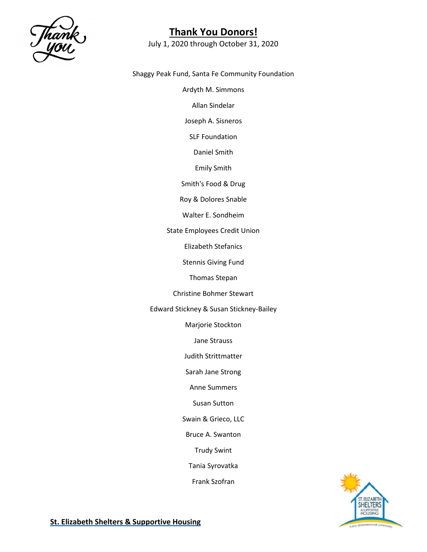

July 1, 2020 through October 31, 2020

Shaggy Peak Fund, Santa Fe Community Foundation

Ardyth M. Simmons

Allan Sindelar

Joseph A. Sisneros

SLF Foundation

Daniel Smith

Emily Smith

Smith's Food & Drug

Roy & Dolores Snable

Walter E. Sondheim

State Employees Credit Union

Elizabeth Stefanics

Stennis Giving Fund

Thomas Stepan

Christine Bohmer Stewart

Edward Stickney & Susan Stickney-Bailey

Marjorie Stockton

Jane Strauss

Judith Strittmatter

Sarah Jane Strong

Anne Summers

Susan Sutton

Swain & Grieco, LLC

Bruce A. Swanton

Trudy Swint

Tania Syrovatka

Frank Szofran

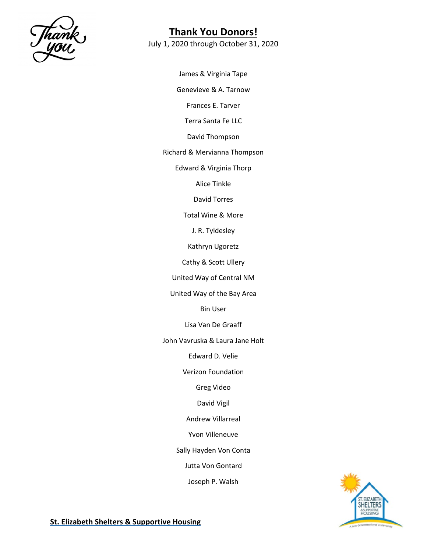

July 1, 2020 through October 31, 2020

James & Virginia Tape Genevieve & A. Tarnow Frances E. Tarver Terra Santa Fe LLC David Thompson Richard & Mervianna Thompson Edward & Virginia Thorp Alice Tinkle David Torres Total Wine & More J. R. Tyldesley Kathryn Ugoretz Cathy & Scott Ullery United Way of Central NM United Way of the Bay Area Bin User Lisa Van De Graaff John Vavruska & Laura Jane Holt Edward D. Velie Verizon Foundation Greg Video David Vigil Andrew Villarreal Yvon Villeneuve Sally Hayden Von Conta Jutta Von Gontard Joseph P. Walsh

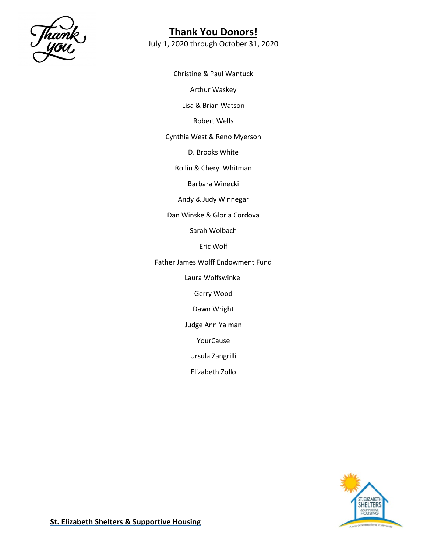

July 1, 2020 through October 31, 2020

Christine & Paul Wantuck Arthur Waskey Lisa & Brian Watson Robert Wells Cynthia West & Reno Myerson D. Brooks White Rollin & Cheryl Whitman Barbara Winecki Andy & Judy Winnegar Dan Winske & Gloria Cordova Sarah Wolbach Eric Wolf Father James Wolff Endowment Fund Laura Wolfswinkel Gerry Wood Dawn Wright Judge Ann Yalman YourCause

Ursula Zangrilli

Elizabeth Zollo